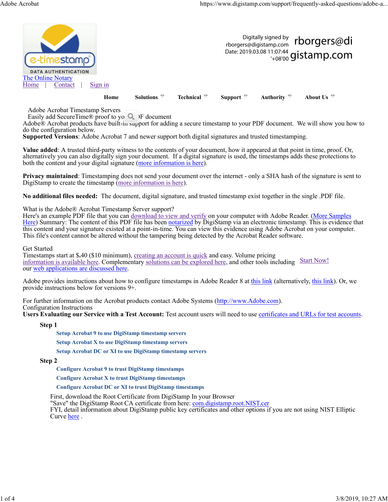

Adobe Acrobat Timestamp Servers

Easily add SecureTime® proof to yo  $\bigcirc$  IF document<br>Adobe® Acrobat products have built-in support for adding a secure timestamp to your PDF document. We will show you how to do the configuration below.

Supported Versions: Adobe Acrobat 7 and newer support both digital signatures and trusted timestamping.

Value added: A trusted third-party witness to the contents of your document, how it appeared at that point in time, proof. Or, alternatively you can also digitally sign your document. If a digital signature is used, the timestamps adds these protections to both the content and your digital signature (more information is here).

Privacy maintained: Timestamping does not send your document over the internet - only a SHA hash of the signature is sent to DigiStamp to create the timestamp (more information is here).

No additional files needed: The document, digital signature, and trusted timestamp exist together in the single .PDF file.

What is the Adobe® Acrobat Timestamp Server support?

Here's an example PDF file that you can download to view and verify on your computer with Adobe Reader. (More Samples Here) Summary: The content of this PDF file has been notarized by DigiStamp via an electronic timestamp. This is evidence that this content and your signature existed at a point-in-time. You can view this evidence using Adobe Acrobat on your computer. This file's content cannot be altered without the tampering being detected by the Acrobat Reader software.

Get Started

Timestamps start at \$.40 (\$10 minimum), creating an account is quick and easy. Volume pricing information is available here. Complementary solutions can be explored here, and other tools including Start Now!<br>our web applications are discussed here.

Adobe provides instructions about how to configure timestamps in Adobe Reader 8 at this link (alternatively, this link). Or, we provide instructions below for versions 9+.

For further information on the Acrobat products contact Adobe Systems (http://www.Adobe.com). Configuration Instructions

Users Evaluating our Service with a Test Account: Test account users will need to use certificates and URLs for test accounts.

Step 1

Setup Acrobat 9 to use DigiStamp timestamp servers

Setup Acrobat X to use DigiStamp timestamp servers

Setup Acrobat DC or XI to use DigiStamp timestamp servers

Step 2

Configure Acrobat 9 to trust DigiStamp timestamps

Configure Acrobat X to trust DigiStamp timestamps

Configure Acrobat DC or XI to trust DigiStamp timestamps

First, download the Root Certificate from DigiStamp In your Browser

"Save" the DigiStamp Root CA certificate from here: com.digistamp.root.NIST.cer

FYI, detail information about DigiStamp public key certificates and other options if you are not using NIST Elliptic Curve here .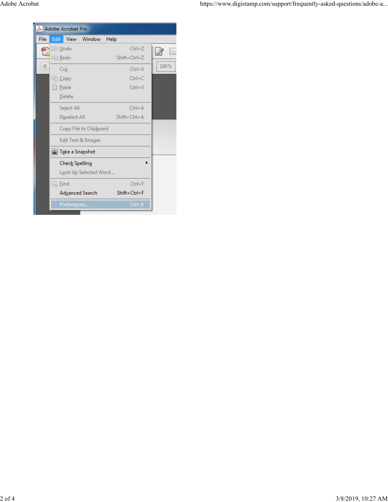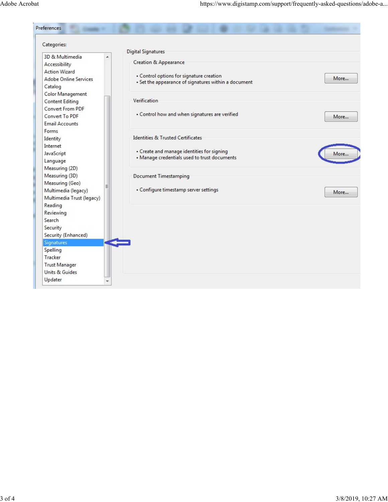|                                                                                                                                                            | https://www.digistamp.com/support/frequently-asked-questions/adobe-a                             |      |
|------------------------------------------------------------------------------------------------------------------------------------------------------------|--------------------------------------------------------------------------------------------------|------|
|                                                                                                                                                            |                                                                                                  |      |
|                                                                                                                                                            |                                                                                                  |      |
|                                                                                                                                                            |                                                                                                  |      |
|                                                                                                                                                            |                                                                                                  |      |
|                                                                                                                                                            |                                                                                                  |      |
|                                                                                                                                                            |                                                                                                  |      |
| Preferences                                                                                                                                                |                                                                                                  |      |
|                                                                                                                                                            |                                                                                                  |      |
| Categories:                                                                                                                                                |                                                                                                  |      |
| 3D & Multimedia<br>۸                                                                                                                                       | Digital Signatures                                                                               |      |
| Accessibility                                                                                                                                              | Creation & Appearance                                                                            |      |
| <b>Action Wizard</b>                                                                                                                                       |                                                                                                  |      |
| <b>Adobe Online Services</b>                                                                                                                               | • Control options for signature creation<br>• Set the appearance of signatures within a document | More |
| Catalog                                                                                                                                                    |                                                                                                  |      |
| <b>Color Management</b><br><b>Content Editing</b>                                                                                                          | Verification                                                                                     |      |
| Convert From PDF                                                                                                                                           |                                                                                                  |      |
| Convert To PDF<br><b>Email Accounts</b>                                                                                                                    | • Control how and when signatures are verified                                                   | More |
| Forms                                                                                                                                                      | <b>Identities &amp; Trusted Certificates</b>                                                     |      |
| Identity<br>Internet                                                                                                                                       |                                                                                                  |      |
| JavaScript<br>Language                                                                                                                                     | • Create and manage identities for signing<br>. Manage credentials used to trust documents       | More |
| Measuring (2D)<br>Measuring (3D)<br>Measuring (Geo)                                                                                                        | <b>Document Timestamping</b>                                                                     |      |
|                                                                                                                                                            | . Configure timestamp server settings                                                            | More |
|                                                                                                                                                            |                                                                                                  |      |
|                                                                                                                                                            |                                                                                                  |      |
|                                                                                                                                                            |                                                                                                  |      |
|                                                                                                                                                            |                                                                                                  |      |
|                                                                                                                                                            |                                                                                                  |      |
|                                                                                                                                                            |                                                                                                  |      |
|                                                                                                                                                            |                                                                                                  |      |
|                                                                                                                                                            |                                                                                                  |      |
| Multimedia (legacy)<br>Multimedia Trust (legacy)<br>Reading<br>Reviewing<br>Search<br>Security<br>Security (Enhanced)<br>Signatures<br>Spelling<br>Tracker |                                                                                                  |      |
| <b>Trust Manager</b><br>Units & Guides                                                                                                                     |                                                                                                  |      |